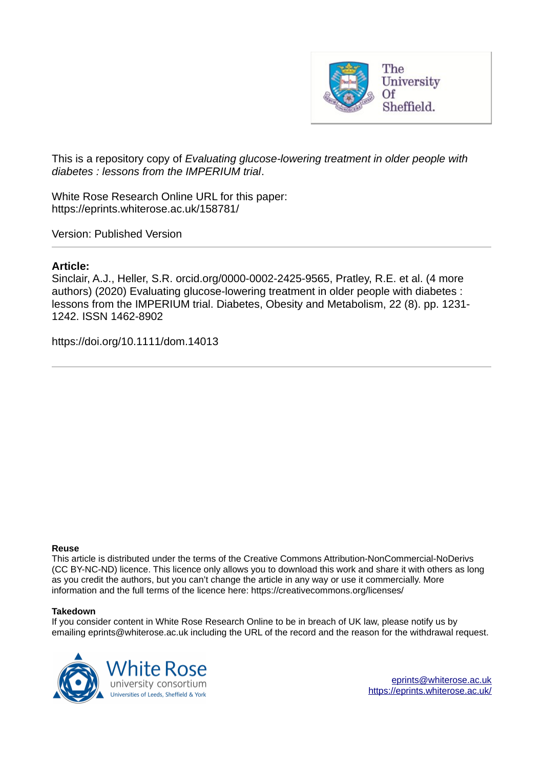

This is a repository copy of *Evaluating glucose‐lowering treatment in older people with diabetes : lessons from the IMPERIUM trial*.

White Rose Research Online URL for this paper: https://eprints.whiterose.ac.uk/158781/

Version: Published Version

# **Article:**

Sinclair, A.J., Heller, S.R. orcid.org/0000-0002-2425-9565, Pratley, R.E. et al. (4 more authors) (2020) Evaluating glucose‐lowering treatment in older people with diabetes : lessons from the IMPERIUM trial. Diabetes, Obesity and Metabolism, 22 (8). pp. 1231- 1242. ISSN 1462-8902

https://doi.org/10.1111/dom.14013

## **Reuse**

This article is distributed under the terms of the Creative Commons Attribution-NonCommercial-NoDerivs (CC BY-NC-ND) licence. This licence only allows you to download this work and share it with others as long as you credit the authors, but you can't change the article in any way or use it commercially. More information and the full terms of the licence here: https://creativecommons.org/licenses/

## **Takedown**

If you consider content in White Rose Research Online to be in breach of UK law, please notify us by emailing eprints@whiterose.ac.uk including the URL of the record and the reason for the withdrawal request.

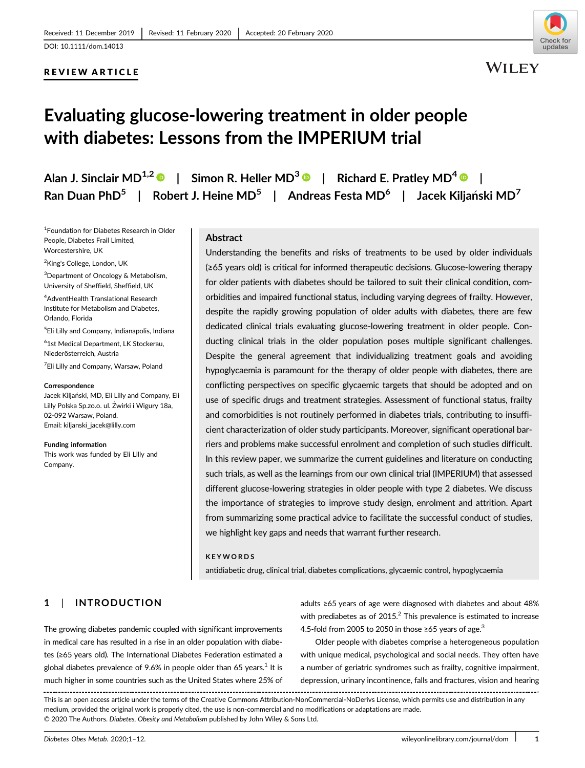# REVIEW ARTICLE



**WILEY** 

# Evaluating glucose-lowering treatment in older people with diabetes: Lessons from the IMPERIUM trial

Alan J. Sinclair MD $^{1,2}$   $\bullet$   $\,$   $\,$   $\,$  Simon R. Heller MD $^{3}$   $\bullet$   $\,$   $\,$   $\,$  Richard E. Pratley MD $^{4}$   $\bullet$   $\,$   $\,$   $\,$ Ran Duan PhD $^5$  | Robert J. Heine MD $^5$  | Andreas Festa MD $^6$  | Jacek Kiljański MD $^7$ 

1 Foundation for Diabetes Research in Older People, Diabetes Frail Limited, Worcestershire, UK

<sup>2</sup>King's College, London, UK

<sup>3</sup>Department of Oncology & Metabolism, University of Sheffield, Sheffield, UK

<sup>4</sup>AdventHealth Translational Research Institute for Metabolism and Diabetes, Orlando, Florida

5 Eli Lilly and Company, Indianapolis, Indiana

6 1st Medical Department, LK Stockerau, Niederösterreich, Austria

<sup>7</sup>Eli Lilly and Company, Warsaw, Poland

#### Correspondence

Jacek Kiljański, MD, Eli Lilly and Company, Eli Lilly Polska Sp.zo.o. ul. Żwirki i Wigury 18a, 02-092 Warsaw, Poland. Email: kiljanski\_jacek@lilly.com

Funding information This work was funded by Eli Lilly and Company.

#### Abstract

Understanding the benefits and risks of treatments to be used by older individuals (≥65 years old) is critical for informed therapeutic decisions. Glucose-lowering therapy for older patients with diabetes should be tailored to suit their clinical condition, comorbidities and impaired functional status, including varying degrees of frailty. However, despite the rapidly growing population of older adults with diabetes, there are few dedicated clinical trials evaluating glucose-lowering treatment in older people. Conducting clinical trials in the older population poses multiple significant challenges. Despite the general agreement that individualizing treatment goals and avoiding hypoglycaemia is paramount for the therapy of older people with diabetes, there are conflicting perspectives on specific glycaemic targets that should be adopted and on use of specific drugs and treatment strategies. Assessment of functional status, frailty and comorbidities is not routinely performed in diabetes trials, contributing to insufficient characterization of older study participants. Moreover, significant operational barriers and problems make successful enrolment and completion of such studies difficult. In this review paper, we summarize the current guidelines and literature on conducting such trials, as well as the learnings from our own clinical trial (IMPERIUM) that assessed different glucose-lowering strategies in older people with type 2 diabetes. We discuss the importance of strategies to improve study design, enrolment and attrition. Apart from summarizing some practical advice to facilitate the successful conduct of studies, we highlight key gaps and needs that warrant further research.

#### KEYWORDS

antidiabetic drug, clinical trial, diabetes complications, glycaemic control, hypoglycaemia

# 1 | INTRODUCTION

The growing diabetes pandemic coupled with significant improvements in medical care has resulted in a rise in an older population with diabetes (≥65 years old). The International Diabetes Federation estimated a global diabetes prevalence of 9.6% in people older than 65 years. $^{\rm 1}$  It is much higher in some countries such as the United States where 25% of adults ≥65 years of age were diagnosed with diabetes and about 48% with prediabetes as of  $2015<sup>2</sup>$  This prevalence is estimated to increase 4.5-fold from 2005 to 2050 in those ≥65 years of age.<sup>3</sup>

Older people with diabetes comprise a heterogeneous population with unique medical, psychological and social needs. They often have a number of geriatric syndromes such as frailty, cognitive impairment, depression, urinary incontinence, falls and fractures, vision and hearing

This is an open access article under the terms of the Creative Commons Attribution-NonCommercial-NoDerivs License, which permits use and distribution in any medium, provided the original work is properly cited, the use is non-commercial and no modifications or adaptations are made. © 2020 The Authors. Diabetes, Obesity and Metabolism published by John Wiley & Sons Ltd.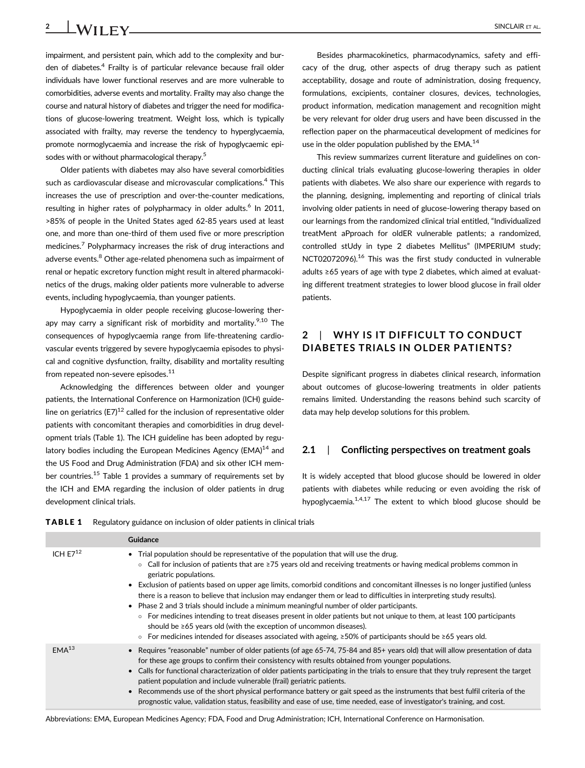impairment, and persistent pain, which add to the complexity and burden of diabetes.<sup>4</sup> Frailty is of particular relevance because frail older individuals have lower functional reserves and are more vulnerable to comorbidities, adverse events and mortality. Frailty may also change the course and natural history of diabetes and trigger the need for modifications of glucose-lowering treatment. Weight loss, which is typically associated with frailty, may reverse the tendency to hyperglycaemia, promote normoglycaemia and increase the risk of hypoglycaemic episodes with or without pharmacological therapy.<sup>5</sup>

Older patients with diabetes may also have several comorbidities such as cardiovascular disease and microvascular complications.<sup>4</sup> This increases the use of prescription and over-the-counter medications, resulting in higher rates of polypharmacy in older adults.<sup>6</sup> In 2011, >85% of people in the United States aged 62-85 years used at least one, and more than one-third of them used five or more prescription medicines.<sup>7</sup> Polypharmacy increases the risk of drug interactions and adverse events.<sup>8</sup> Other age-related phenomena such as impairment of renal or hepatic excretory function might result in altered pharmacokinetics of the drugs, making older patients more vulnerable to adverse events, including hypoglycaemia, than younger patients.

Hypoglycaemia in older people receiving glucose-lowering therapy may carry a significant risk of morbidity and mortality. $9,10$  The consequences of hypoglycaemia range from life-threatening cardiovascular events triggered by severe hypoglycaemia episodes to physical and cognitive dysfunction, frailty, disability and mortality resulting from repeated non-severe episodes.<sup>11</sup>

Acknowledging the differences between older and younger patients, the International Conference on Harmonization (ICH) guideline on geriatrics (E7)<sup>12</sup> called for the inclusion of representative older patients with concomitant therapies and comorbidities in drug development trials (Table 1). The ICH guideline has been adopted by regulatory bodies including the European Medicines Agency ( $EMA$ )<sup>14</sup> and the US Food and Drug Administration (FDA) and six other ICH member countries.<sup>15</sup> Table 1 provides a summary of requirements set by the ICH and EMA regarding the inclusion of older patients in drug development clinical trials.

Besides pharmacokinetics, pharmacodynamics, safety and efficacy of the drug, other aspects of drug therapy such as patient acceptability, dosage and route of administration, dosing frequency, formulations, excipients, container closures, devices, technologies, product information, medication management and recognition might be very relevant for older drug users and have been discussed in the reflection paper on the pharmaceutical development of medicines for use in the older population published by the EMA.<sup>14</sup>

This review summarizes current literature and guidelines on conducting clinical trials evaluating glucose-lowering therapies in older patients with diabetes. We also share our experience with regards to the planning, designing, implementing and reporting of clinical trials involving older patients in need of glucose-lowering therapy based on our learnings from the randomized clinical trial entitled, "Individualized treatMent aPproach for oldER vulnerable patIents; a randomized, controlled stUdy in type 2 diabetes Mellitus" (IMPERIUM study; NCT02072096).<sup>16</sup> This was the first study conducted in vulnerable adults ≥65 years of age with type 2 diabetes, which aimed at evaluating different treatment strategies to lower blood glucose in frail older patients.

# 2 | WHY IS IT DIFFICULT TO CONDUCT DIABETES TRIALS IN OLDER PATIENTS?

Despite significant progress in diabetes clinical research, information about outcomes of glucose-lowering treatments in older patients remains limited. Understanding the reasons behind such scarcity of data may help develop solutions for this problem.

#### 2.1 | Conflicting perspectives on treatment goals

It is widely accepted that blood glucose should be lowered in older patients with diabetes while reducing or even avoiding the risk of hypoglycaemia. $1,4,17$  The extent to which blood glucose should be

|  | <b>TABLE 1</b> Regulatory guidance on inclusion of older patients in clinical trials |  |  |  |
|--|--------------------------------------------------------------------------------------|--|--|--|
|--|--------------------------------------------------------------------------------------|--|--|--|

|                   | Guidance                                                                                                                                                                                                                                                                                                                                                                                                                                                                                                                                                                                                                                                                                                                                                                                                                                                                                                                                          |
|-------------------|---------------------------------------------------------------------------------------------------------------------------------------------------------------------------------------------------------------------------------------------------------------------------------------------------------------------------------------------------------------------------------------------------------------------------------------------------------------------------------------------------------------------------------------------------------------------------------------------------------------------------------------------------------------------------------------------------------------------------------------------------------------------------------------------------------------------------------------------------------------------------------------------------------------------------------------------------|
| ICH $E7^{12}$     | • Trial population should be representative of the population that will use the drug.<br>Call for inclusion of patients that are $\geq$ 75 years old and receiving treatments or having medical problems common in<br>$\circ$<br>geriatric populations.<br>• Exclusion of patients based on upper age limits, comorbid conditions and concomitant illnesses is no longer justified (unless<br>there is a reason to believe that inclusion may endanger them or lead to difficulties in interpreting study results).<br>• Phase 2 and 3 trials should include a minimum meaningful number of older participants.<br>○ For medicines intending to treat diseases present in older patients but not unique to them, at least 100 participants<br>should be $\geq 65$ years old (with the exception of uncommon diseases).<br>○ For medicines intended for diseases associated with ageing, $\geq$ 50% of participants should be $\geq$ 65 years old. |
| EMA <sup>13</sup> | • Requires "reasonable" number of older patients (of age 65-74, 75-84 and 85+ years old) that will allow presentation of data<br>for these age groups to confirm their consistency with results obtained from younger populations.<br>• Calls for functional characterization of older patients participating in the trials to ensure that they truly represent the target<br>patient population and include vulnerable (frail) geriatric patients.<br>• Recommends use of the short physical performance battery or gait speed as the instruments that best fulfil criteria of the<br>prognostic value, validation status, feasibility and ease of use, time needed, ease of investigator's training, and cost.                                                                                                                                                                                                                                  |

Abbreviations: EMA, European Medicines Agency; FDA, Food and Drug Administration; ICH, International Conference on Harmonisation.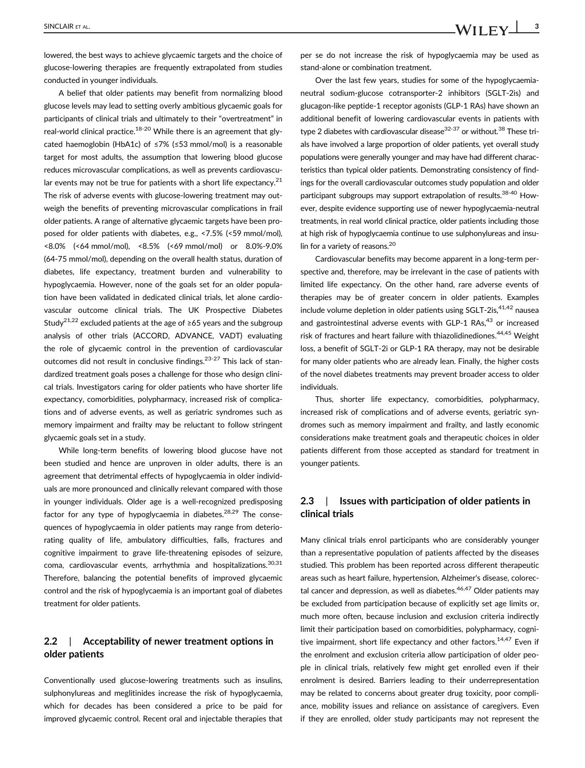SINCLAIR ET AL.  $\text{WII} \, \text{FV}$   $\frac{3}{3}$ 

lowered, the best ways to achieve glycaemic targets and the choice of glucose-lowering therapies are frequently extrapolated from studies conducted in younger individuals.

A belief that older patients may benefit from normalizing blood glucose levels may lead to setting overly ambitious glycaemic goals for participants of clinical trials and ultimately to their "overtreatment" in real-world clinical practice.<sup>18-20</sup> While there is an agreement that glycated haemoglobin (HbA1c) of ≤7% (≤53 mmol/mol) is a reasonable target for most adults, the assumption that lowering blood glucose reduces microvascular complications, as well as prevents cardiovascular events may not be true for patients with a short life expectancy. $21$ The risk of adverse events with glucose-lowering treatment may outweigh the benefits of preventing microvascular complications in frail older patients. A range of alternative glycaemic targets have been proposed for older patients with diabetes, e.g., <7.5% (<59 mmol/mol), <8.0% (<64 mmol/mol), <8.5% (<69 mmol/mol) or 8.0%-9.0% (64-75 mmol/mol), depending on the overall health status, duration of diabetes, life expectancy, treatment burden and vulnerability to hypoglycaemia. However, none of the goals set for an older population have been validated in dedicated clinical trials, let alone cardiovascular outcome clinical trials. The UK Prospective Diabetes Study<sup>21,22</sup> excluded patients at the age of ≥65 years and the subgroup analysis of other trials (ACCORD, ADVANCE, VADT) evaluating the role of glycaemic control in the prevention of cardiovascular outcomes did not result in conclusive findings.23-27 This lack of standardized treatment goals poses a challenge for those who design clinical trials. Investigators caring for older patients who have shorter life expectancy, comorbidities, polypharmacy, increased risk of complications and of adverse events, as well as geriatric syndromes such as memory impairment and frailty may be reluctant to follow stringent glycaemic goals set in a study.

While long-term benefits of lowering blood glucose have not been studied and hence are unproven in older adults, there is an agreement that detrimental effects of hypoglycaemia in older individuals are more pronounced and clinically relevant compared with those in younger individuals. Older age is a well-recognized predisposing factor for any type of hypoglycaemia in diabetes. $28,29$  The consequences of hypoglycaemia in older patients may range from deteriorating quality of life, ambulatory difficulties, falls, fractures and cognitive impairment to grave life-threatening episodes of seizure, coma, cardiovascular events, arrhythmia and hospitalizations.<sup>30,31</sup> Therefore, balancing the potential benefits of improved glycaemic control and the risk of hypoglycaemia is an important goal of diabetes treatment for older patients.

## 2.2 | Acceptability of newer treatment options in older patients

Conventionally used glucose-lowering treatments such as insulins, sulphonylureas and meglitinides increase the risk of hypoglycaemia, which for decades has been considered a price to be paid for improved glycaemic control. Recent oral and injectable therapies that per se do not increase the risk of hypoglycaemia may be used as stand-alone or combination treatment.

Over the last few years, studies for some of the hypoglycaemianeutral sodium-glucose cotransporter-2 inhibitors (SGLT-2is) and glucagon-like peptide-1 receptor agonists (GLP-1 RAs) have shown an additional benefit of lowering cardiovascular events in patients with type 2 diabetes with cardiovascular disease $32-37$  or without.<sup>38</sup> These trials have involved a large proportion of older patients, yet overall study populations were generally younger and may have had different characteristics than typical older patients. Demonstrating consistency of findings for the overall cardiovascular outcomes study population and older participant subgroups may support extrapolation of results.<sup>38-40</sup> However, despite evidence supporting use of newer hypoglycaemia-neutral treatments, in real world clinical practice, older patients including those at high risk of hypoglycaemia continue to use sulphonylureas and insulin for a variety of reasons.<sup>20</sup>

Cardiovascular benefits may become apparent in a long-term perspective and, therefore, may be irrelevant in the case of patients with limited life expectancy. On the other hand, rare adverse events of therapies may be of greater concern in older patients. Examples include volume depletion in older patients using  $SGLT-2is, <sup>41,42</sup>$  nausea and gastrointestinal adverse events with GLP-1 RAs, $43$  or increased risk of fractures and heart failure with thiazolidinediones.<sup>44,45</sup> Weight loss, a benefit of SGLT-2i or GLP-1 RA therapy, may not be desirable for many older patients who are already lean. Finally, the higher costs of the novel diabetes treatments may prevent broader access to older individuals.

Thus, shorter life expectancy, comorbidities, polypharmacy, increased risk of complications and of adverse events, geriatric syndromes such as memory impairment and frailty, and lastly economic considerations make treatment goals and therapeutic choices in older patients different from those accepted as standard for treatment in younger patients.

#### 2.3 | Issues with participation of older patients in clinical trials

Many clinical trials enrol participants who are considerably younger than a representative population of patients affected by the diseases studied. This problem has been reported across different therapeutic areas such as heart failure, hypertension, Alzheimer's disease, colorectal cancer and depression, as well as diabetes. $46,47$  Older patients may be excluded from participation because of explicitly set age limits or, much more often, because inclusion and exclusion criteria indirectly limit their participation based on comorbidities, polypharmacy, cognitive impairment, short life expectancy and other factors.<sup>14,47</sup> Even if the enrolment and exclusion criteria allow participation of older people in clinical trials, relatively few might get enrolled even if their enrolment is desired. Barriers leading to their underrepresentation may be related to concerns about greater drug toxicity, poor compliance, mobility issues and reliance on assistance of caregivers. Even if they are enrolled, older study participants may not represent the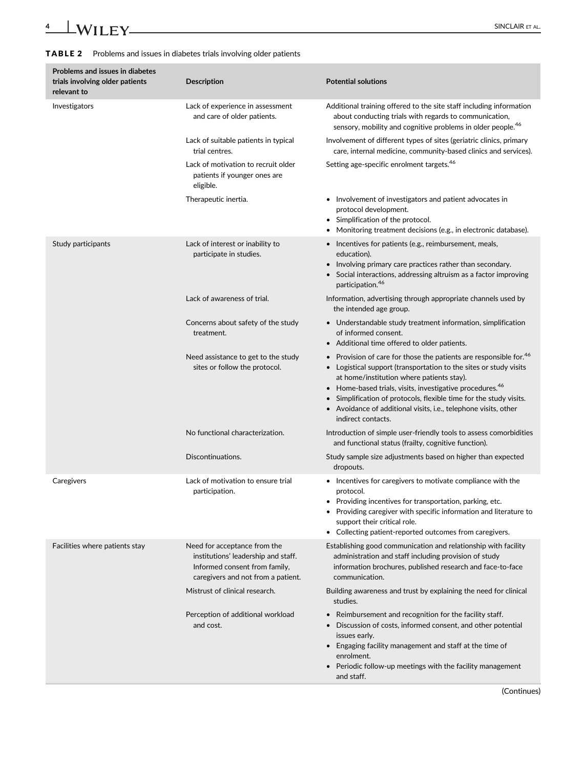# TABLE 2 Problems and issues in diabetes trials involving older patients

| <b>Problems and issues in diabetes</b><br>trials involving older patients<br>relevant to | <b>Description</b>                                                                                                                         | <b>Potential solutions</b>                                                                                                                                                                                                                                                                                                                                                                                                                  |
|------------------------------------------------------------------------------------------|--------------------------------------------------------------------------------------------------------------------------------------------|---------------------------------------------------------------------------------------------------------------------------------------------------------------------------------------------------------------------------------------------------------------------------------------------------------------------------------------------------------------------------------------------------------------------------------------------|
| Investigators                                                                            | Lack of experience in assessment<br>and care of older patients.                                                                            | Additional training offered to the site staff including information<br>about conducting trials with regards to communication,<br>sensory, mobility and cognitive problems in older people. <sup>46</sup>                                                                                                                                                                                                                                    |
|                                                                                          | Lack of suitable patients in typical<br>trial centres.                                                                                     | Involvement of different types of sites (geriatric clinics, primary<br>care, internal medicine, community-based clinics and services).                                                                                                                                                                                                                                                                                                      |
|                                                                                          | Lack of motivation to recruit older<br>patients if younger ones are<br>eligible.                                                           | Setting age-specific enrolment targets. <sup>46</sup>                                                                                                                                                                                                                                                                                                                                                                                       |
|                                                                                          | Therapeutic inertia.                                                                                                                       | • Involvement of investigators and patient advocates in<br>protocol development.<br>• Simplification of the protocol.<br>Monitoring treatment decisions (e.g., in electronic database).                                                                                                                                                                                                                                                     |
| Study participants                                                                       | Lack of interest or inability to<br>participate in studies.                                                                                | • Incentives for patients (e.g., reimbursement, meals,<br>education).<br>Involving primary care practices rather than secondary.<br>Social interactions, addressing altruism as a factor improving<br>participation. <sup>46</sup>                                                                                                                                                                                                          |
|                                                                                          | Lack of awareness of trial.                                                                                                                | Information, advertising through appropriate channels used by<br>the intended age group.                                                                                                                                                                                                                                                                                                                                                    |
|                                                                                          | Concerns about safety of the study<br>treatment.                                                                                           | • Understandable study treatment information, simplification<br>of informed consent.<br>Additional time offered to older patients.<br>$\bullet$                                                                                                                                                                                                                                                                                             |
|                                                                                          | Need assistance to get to the study<br>sites or follow the protocol.                                                                       | Provision of care for those the patients are responsible for. <sup>46</sup><br>Logistical support (transportation to the sites or study visits<br>$\bullet$<br>at home/institution where patients stay).<br>Home-based trials, visits, investigative procedures. <sup>46</sup><br>Simplification of protocols, flexible time for the study visits.<br>• Avoidance of additional visits, i.e., telephone visits, other<br>indirect contacts. |
|                                                                                          | No functional characterization.                                                                                                            | Introduction of simple user-friendly tools to assess comorbidities<br>and functional status (frailty, cognitive function).                                                                                                                                                                                                                                                                                                                  |
|                                                                                          | Discontinuations.                                                                                                                          | Study sample size adjustments based on higher than expected<br>dropouts.                                                                                                                                                                                                                                                                                                                                                                    |
| Caregivers                                                                               | Lack of motivation to ensure trial<br>participation.                                                                                       | • Incentives for caregivers to motivate compliance with the<br>protocol.<br>• Providing incentives for transportation, parking, etc.<br>• Providing caregiver with specific information and literature to<br>support their critical role.<br>• Collecting patient-reported outcomes from caregivers.                                                                                                                                        |
| Facilities where patients stay                                                           | Need for acceptance from the<br>institutions' leadership and staff.<br>Informed consent from family,<br>caregivers and not from a patient. | Establishing good communication and relationship with facility<br>administration and staff including provision of study<br>information brochures, published research and face-to-face<br>communication.                                                                                                                                                                                                                                     |
|                                                                                          | Mistrust of clinical research.                                                                                                             | Building awareness and trust by explaining the need for clinical<br>studies.                                                                                                                                                                                                                                                                                                                                                                |
|                                                                                          | Perception of additional workload<br>and cost.                                                                                             | Reimbursement and recognition for the facility staff.<br>$\bullet$<br>Discussion of costs, informed consent, and other potential<br>issues early.<br>Engaging facility management and staff at the time of<br>$\bullet$<br>enrolment.<br>Periodic follow-up meetings with the facility management<br>and staff.                                                                                                                             |

(Continues)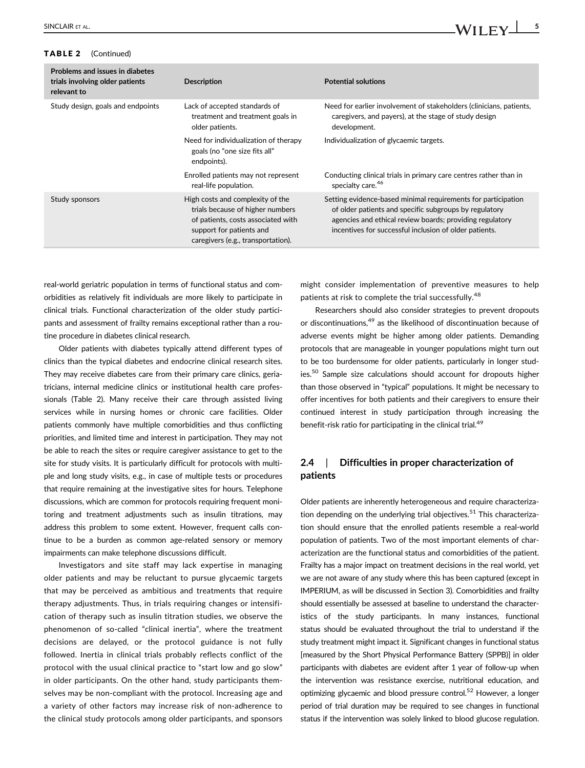#### TABLE 2 (Continued)

| Problems and issues in diabetes<br>trials involving older patients<br>relevant to | <b>Description</b>                                                                                                                                                           | <b>Potential solutions</b>                                                                                                                                                                                                                    |
|-----------------------------------------------------------------------------------|------------------------------------------------------------------------------------------------------------------------------------------------------------------------------|-----------------------------------------------------------------------------------------------------------------------------------------------------------------------------------------------------------------------------------------------|
| Study design, goals and endpoints                                                 | Lack of accepted standards of<br>treatment and treatment goals in<br>older patients.                                                                                         | Need for earlier involvement of stakeholders (clinicians, patients,<br>caregivers, and payers), at the stage of study design<br>development.                                                                                                  |
|                                                                                   | Need for individualization of therapy<br>goals (no "one size fits all"<br>endpoints).                                                                                        | Individualization of glycaemic targets.                                                                                                                                                                                                       |
|                                                                                   | Enrolled patients may not represent<br>real-life population.                                                                                                                 | Conducting clinical trials in primary care centres rather than in<br>specialty care. <sup>46</sup>                                                                                                                                            |
| Study sponsors                                                                    | High costs and complexity of the<br>trials because of higher numbers<br>of patients, costs associated with<br>support for patients and<br>caregivers (e.g., transportation). | Setting evidence-based minimal requirements for participation<br>of older patients and specific subgroups by regulatory<br>agencies and ethical review boards; providing regulatory<br>incentives for successful inclusion of older patients. |

real-world geriatric population in terms of functional status and comorbidities as relatively fit individuals are more likely to participate in clinical trials. Functional characterization of the older study participants and assessment of frailty remains exceptional rather than a routine procedure in diabetes clinical research.

Older patients with diabetes typically attend different types of clinics than the typical diabetes and endocrine clinical research sites. They may receive diabetes care from their primary care clinics, geriatricians, internal medicine clinics or institutional health care professionals (Table 2). Many receive their care through assisted living services while in nursing homes or chronic care facilities. Older patients commonly have multiple comorbidities and thus conflicting priorities, and limited time and interest in participation. They may not be able to reach the sites or require caregiver assistance to get to the site for study visits. It is particularly difficult for protocols with multiple and long study visits, e.g., in case of multiple tests or procedures that require remaining at the investigative sites for hours. Telephone discussions, which are common for protocols requiring frequent monitoring and treatment adjustments such as insulin titrations, may address this problem to some extent. However, frequent calls continue to be a burden as common age-related sensory or memory impairments can make telephone discussions difficult.

Investigators and site staff may lack expertise in managing older patients and may be reluctant to pursue glycaemic targets that may be perceived as ambitious and treatments that require therapy adjustments. Thus, in trials requiring changes or intensification of therapy such as insulin titration studies, we observe the phenomenon of so-called "clinical inertia", where the treatment decisions are delayed, or the protocol guidance is not fully followed. Inertia in clinical trials probably reflects conflict of the protocol with the usual clinical practice to "start low and go slow" in older participants. On the other hand, study participants themselves may be non-compliant with the protocol. Increasing age and a variety of other factors may increase risk of non-adherence to the clinical study protocols among older participants, and sponsors might consider implementation of preventive measures to help patients at risk to complete the trial successfully.<sup>48</sup>

Researchers should also consider strategies to prevent dropouts or discontinuations,<sup>49</sup> as the likelihood of discontinuation because of adverse events might be higher among older patients. Demanding protocols that are manageable in younger populations might turn out to be too burdensome for older patients, particularly in longer studies.<sup>50</sup> Sample size calculations should account for dropouts higher than those observed in "typical" populations. It might be necessary to offer incentives for both patients and their caregivers to ensure their continued interest in study participation through increasing the benefit-risk ratio for participating in the clinical trial.<sup>49</sup>

# 2.4 | Difficulties in proper characterization of patients

Older patients are inherently heterogeneous and require characterization depending on the underlying trial objectives.<sup>51</sup> This characterization should ensure that the enrolled patients resemble a real-world population of patients. Two of the most important elements of characterization are the functional status and comorbidities of the patient. Frailty has a major impact on treatment decisions in the real world, yet we are not aware of any study where this has been captured (except in IMPERIUM, as will be discussed in Section 3). Comorbidities and frailty should essentially be assessed at baseline to understand the characteristics of the study participants. In many instances, functional status should be evaluated throughout the trial to understand if the study treatment might impact it. Significant changes in functional status [measured by the Short Physical Performance Battery (SPPB)] in older participants with diabetes are evident after 1 year of follow-up when the intervention was resistance exercise, nutritional education, and optimizing glycaemic and blood pressure control.<sup>52</sup> However, a longer period of trial duration may be required to see changes in functional status if the intervention was solely linked to blood glucose regulation.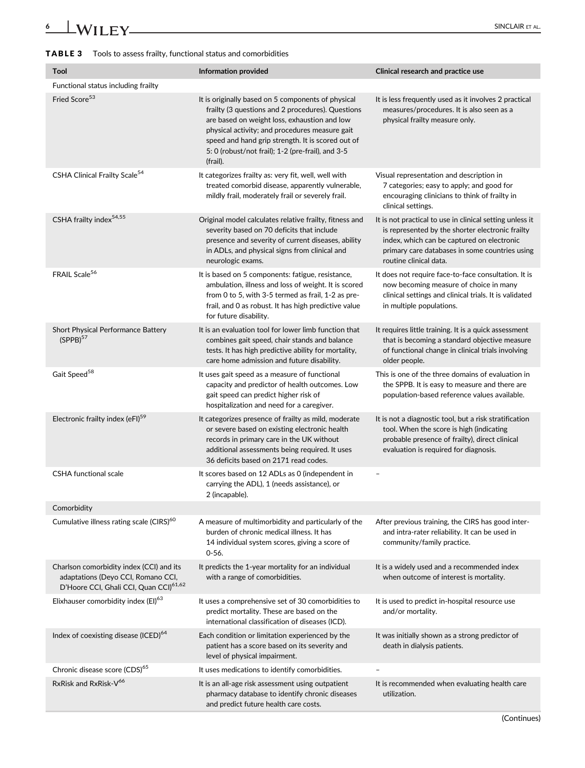#### TABLE 3 Tools to assess frailty, functional status and comorbidities

| <b>Tool</b>                                                                                                                          | <b>Information provided</b>                                                                                                                                                                                                                                                                                                     | Clinical research and practice use                                                                                                                                                                                                     |
|--------------------------------------------------------------------------------------------------------------------------------------|---------------------------------------------------------------------------------------------------------------------------------------------------------------------------------------------------------------------------------------------------------------------------------------------------------------------------------|----------------------------------------------------------------------------------------------------------------------------------------------------------------------------------------------------------------------------------------|
| Functional status including frailty                                                                                                  |                                                                                                                                                                                                                                                                                                                                 |                                                                                                                                                                                                                                        |
| Fried Score <sup>53</sup>                                                                                                            | It is originally based on 5 components of physical<br>frailty (3 questions and 2 procedures). Questions<br>are based on weight loss, exhaustion and low<br>physical activity; and procedures measure gait<br>speed and hand grip strength. It is scored out of<br>5: 0 (robust/not frail); 1-2 (pre-frail), and 3-5<br>(frail). | It is less frequently used as it involves 2 practical<br>measures/procedures. It is also seen as a<br>physical frailty measure only.                                                                                                   |
| CSHA Clinical Frailty Scale <sup>54</sup>                                                                                            | It categorizes frailty as: very fit, well, well with<br>treated comorbid disease, apparently vulnerable,<br>mildly frail, moderately frail or severely frail.                                                                                                                                                                   | Visual representation and description in<br>7 categories; easy to apply; and good for<br>encouraging clinicians to think of frailty in<br>clinical settings.                                                                           |
| CSHA frailty index <sup>54,55</sup>                                                                                                  | Original model calculates relative frailty, fitness and<br>severity based on 70 deficits that include<br>presence and severity of current diseases, ability<br>in ADLs, and physical signs from clinical and<br>neurologic exams.                                                                                               | It is not practical to use in clinical setting unless it<br>is represented by the shorter electronic frailty<br>index, which can be captured on electronic<br>primary care databases in some countries using<br>routine clinical data. |
| FRAIL Scale <sup>56</sup>                                                                                                            | It is based on 5 components: fatigue, resistance,<br>ambulation, illness and loss of weight. It is scored<br>from 0 to 5, with 3-5 termed as frail, 1-2 as pre-<br>frail, and 0 as robust. It has high predictive value<br>for future disability.                                                                               | It does not require face-to-face consultation. It is<br>now becoming measure of choice in many<br>clinical settings and clinical trials. It is validated<br>in multiple populations.                                                   |
| Short Physical Performance Battery<br>(SPPB) <sup>57</sup>                                                                           | It is an evaluation tool for lower limb function that<br>combines gait speed, chair stands and balance<br>tests. It has high predictive ability for mortality,<br>care home admission and future disability.                                                                                                                    | It requires little training. It is a quick assessment<br>that is becoming a standard objective measure<br>of functional change in clinical trials involving<br>older people.                                                           |
| Gait Speed <sup>58</sup>                                                                                                             | It uses gait speed as a measure of functional<br>capacity and predictor of health outcomes. Low<br>gait speed can predict higher risk of<br>hospitalization and need for a caregiver.                                                                                                                                           | This is one of the three domains of evaluation in<br>the SPPB. It is easy to measure and there are<br>population-based reference values available.                                                                                     |
| Electronic frailty index (eFI) <sup>59</sup>                                                                                         | It categorizes presence of frailty as mild, moderate<br>or severe based on existing electronic health<br>records in primary care in the UK without<br>additional assessments being required. It uses<br>36 deficits based on 2171 read codes.                                                                                   | It is not a diagnostic tool, but a risk stratification<br>tool. When the score is high (indicating<br>probable presence of frailty), direct clinical<br>evaluation is required for diagnosis.                                          |
| <b>CSHA functional scale</b>                                                                                                         | It scores based on 12 ADLs as 0 (independent in<br>carrying the ADL), 1 (needs assistance), or<br>2 (incapable).                                                                                                                                                                                                                | $\overline{\phantom{0}}$                                                                                                                                                                                                               |
| Comorbidity                                                                                                                          |                                                                                                                                                                                                                                                                                                                                 |                                                                                                                                                                                                                                        |
| Cumulative illness rating scale (CIRS) <sup>60</sup>                                                                                 | A measure of multimorbidity and particularly of the<br>burden of chronic medical illness. It has<br>14 individual system scores, giving a score of<br>$0 - 56.$                                                                                                                                                                 | After previous training, the CIRS has good inter-<br>and intra-rater reliability. It can be used in<br>community/family practice.                                                                                                      |
| Charlson comorbidity index (CCI) and its<br>adaptations (Deyo CCI, Romano CCI,<br>D'Hoore CCI, Ghali CCI, Quan CCI) <sup>61,62</sup> | It predicts the 1-year mortality for an individual<br>with a range of comorbidities.                                                                                                                                                                                                                                            | It is a widely used and a recommended index<br>when outcome of interest is mortality.                                                                                                                                                  |
| Elixhauser comorbidity index (EI) <sup>63</sup>                                                                                      | It uses a comprehensive set of 30 comorbidities to<br>predict mortality. These are based on the<br>international classification of diseases (ICD).                                                                                                                                                                              | It is used to predict in-hospital resource use<br>and/or mortality.                                                                                                                                                                    |
| Index of coexisting disease (ICED) <sup>64</sup>                                                                                     | Each condition or limitation experienced by the<br>patient has a score based on its severity and<br>level of physical impairment.                                                                                                                                                                                               | It was initially shown as a strong predictor of<br>death in dialysis patients.                                                                                                                                                         |
| Chronic disease score (CDS) <sup>65</sup>                                                                                            | It uses medications to identify comorbidities.                                                                                                                                                                                                                                                                                  |                                                                                                                                                                                                                                        |
| RxRisk and RxRisk-V <sup>66</sup>                                                                                                    | It is an all-age risk assessment using outpatient<br>pharmacy database to identify chronic diseases<br>and predict future health care costs.                                                                                                                                                                                    | It is recommended when evaluating health care<br>utilization.                                                                                                                                                                          |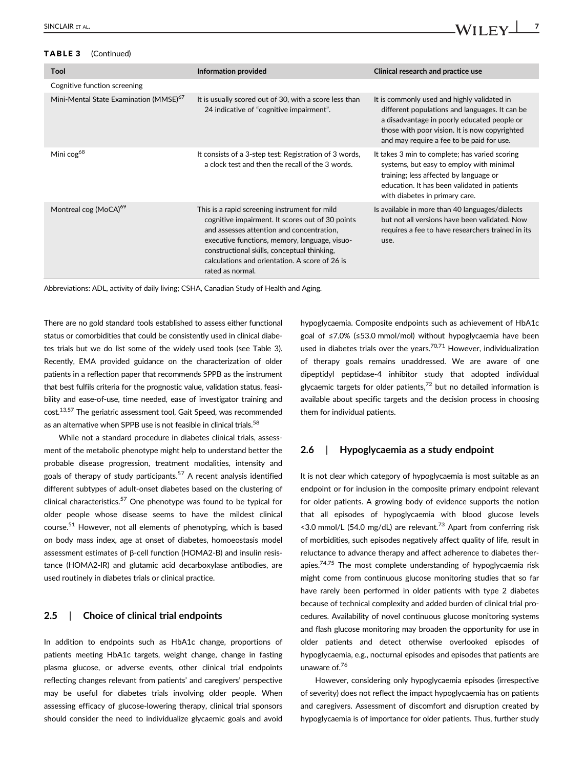### TABLE 3 (Continued)

| Tool                                               | Information provided                                                                                                                                                                                                                                                                                                 | Clinical research and practice use                                                                                                                                                                                                         |
|----------------------------------------------------|----------------------------------------------------------------------------------------------------------------------------------------------------------------------------------------------------------------------------------------------------------------------------------------------------------------------|--------------------------------------------------------------------------------------------------------------------------------------------------------------------------------------------------------------------------------------------|
| Cognitive function screening                       |                                                                                                                                                                                                                                                                                                                      |                                                                                                                                                                                                                                            |
| Mini-Mental State Examination (MMSE) <sup>67</sup> | It is usually scored out of 30, with a score less than<br>24 indicative of "cognitive impairment".                                                                                                                                                                                                                   | It is commonly used and highly validated in<br>different populations and languages. It can be<br>a disadvantage in poorly educated people or<br>those with poor vision. It is now copyrighted<br>and may require a fee to be paid for use. |
| Mini cog <sup>68</sup>                             | It consists of a 3-step test: Registration of 3 words,<br>a clock test and then the recall of the 3 words.                                                                                                                                                                                                           | It takes 3 min to complete; has varied scoring<br>systems, but easy to employ with minimal<br>training; less affected by language or<br>education. It has been validated in patients<br>with diabetes in primary care.                     |
| Montreal cog (MoCA) <sup>69</sup>                  | This is a rapid screening instrument for mild<br>cognitive impairment. It scores out of 30 points<br>and assesses attention and concentration,<br>executive functions, memory, language, visuo-<br>constructional skills, conceptual thinking,<br>calculations and orientation. A score of 26 is<br>rated as normal. | Is available in more than 40 languages/dialects<br>but not all versions have been validated. Now<br>requires a fee to have researchers trained in its<br>use.                                                                              |

Abbreviations: ADL, activity of daily living; CSHA, Canadian Study of Health and Aging.

There are no gold standard tools established to assess either functional status or comorbidities that could be consistently used in clinical diabetes trials but we do list some of the widely used tools (see Table 3). Recently, EMA provided guidance on the characterization of older patients in a reflection paper that recommends SPPB as the instrument that best fulfils criteria for the prognostic value, validation status, feasibility and ease-of-use, time needed, ease of investigator training and cost.13,57 The geriatric assessment tool, Gait Speed, was recommended as an alternative when SPPB use is not feasible in clinical trials.<sup>58</sup>

While not a standard procedure in diabetes clinical trials, assessment of the metabolic phenotype might help to understand better the probable disease progression, treatment modalities, intensity and goals of therapy of study participants.<sup>57</sup> A recent analysis identified different subtypes of adult-onset diabetes based on the clustering of clinical characteristics.<sup>57</sup> One phenotype was found to be typical for older people whose disease seems to have the mildest clinical course.<sup>51</sup> However, not all elements of phenotyping, which is based on body mass index, age at onset of diabetes, homoeostasis model assessment estimates of β-cell function (HOMA2-B) and insulin resistance (HOMA2-IR) and glutamic acid decarboxylase antibodies, are used routinely in diabetes trials or clinical practice.

#### 2.5 | Choice of clinical trial endpoints

In addition to endpoints such as HbA1c change, proportions of patients meeting HbA1c targets, weight change, change in fasting plasma glucose, or adverse events, other clinical trial endpoints reflecting changes relevant from patients' and caregivers' perspective may be useful for diabetes trials involving older people. When assessing efficacy of glucose-lowering therapy, clinical trial sponsors should consider the need to individualize glycaemic goals and avoid hypoglycaemia. Composite endpoints such as achievement of HbA1c goal of ≤7.0% (≤53.0 mmol/mol) without hypoglycaemia have been used in diabetes trials over the years. $70,71$  However, individualization of therapy goals remains unaddressed. We are aware of one dipeptidyl peptidase-4 inhibitor study that adopted individual glycaemic targets for older patients, $72$  but no detailed information is available about specific targets and the decision process in choosing them for individual patients.

#### 2.6 | Hypoglycaemia as a study endpoint

It is not clear which category of hypoglycaemia is most suitable as an endpoint or for inclusion in the composite primary endpoint relevant for older patients. A growing body of evidence supports the notion that all episodes of hypoglycaemia with blood glucose levels  $\le$  3.0 mmol/L (54.0 mg/dL) are relevant.<sup>73</sup> Apart from conferring risk of morbidities, such episodes negatively affect quality of life, result in reluctance to advance therapy and affect adherence to diabetes therapies. $74,75$  The most complete understanding of hypoglycaemia risk might come from continuous glucose monitoring studies that so far have rarely been performed in older patients with type 2 diabetes because of technical complexity and added burden of clinical trial procedures. Availability of novel continuous glucose monitoring systems and flash glucose monitoring may broaden the opportunity for use in older patients and detect otherwise overlooked episodes of hypoglycaemia, e.g., nocturnal episodes and episodes that patients are unaware of.<sup>76</sup>

However, considering only hypoglycaemia episodes (irrespective of severity) does not reflect the impact hypoglycaemia has on patients and caregivers. Assessment of discomfort and disruption created by hypoglycaemia is of importance for older patients. Thus, further study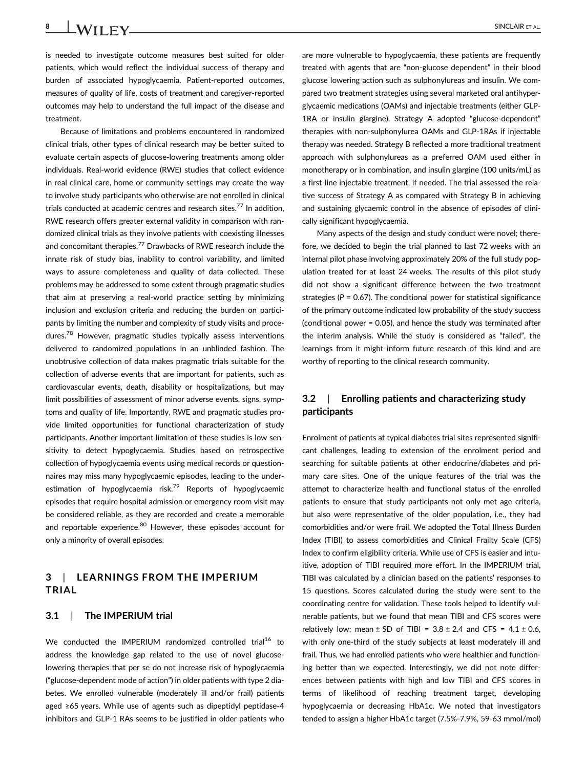8 SINCLAIR ET AL.

is needed to investigate outcome measures best suited for older patients, which would reflect the individual success of therapy and burden of associated hypoglycaemia. Patient-reported outcomes, measures of quality of life, costs of treatment and caregiver-reported outcomes may help to understand the full impact of the disease and treatment.

Because of limitations and problems encountered in randomized clinical trials, other types of clinical research may be better suited to evaluate certain aspects of glucose-lowering treatments among older individuals. Real-world evidence (RWE) studies that collect evidence in real clinical care, home or community settings may create the way to involve study participants who otherwise are not enrolled in clinical trials conducted at academic centres and research sites.<sup>77</sup> In addition, RWE research offers greater external validity in comparison with randomized clinical trials as they involve patients with coexisting illnesses and concomitant therapies.<sup>77</sup> Drawbacks of RWE research include the innate risk of study bias, inability to control variability, and limited ways to assure completeness and quality of data collected. These problems may be addressed to some extent through pragmatic studies that aim at preserving a real-world practice setting by minimizing inclusion and exclusion criteria and reducing the burden on participants by limiting the number and complexity of study visits and procedures.<sup>78</sup> However, pragmatic studies typically assess interventions delivered to randomized populations in an unblinded fashion. The unobtrusive collection of data makes pragmatic trials suitable for the collection of adverse events that are important for patients, such as cardiovascular events, death, disability or hospitalizations, but may limit possibilities of assessment of minor adverse events, signs, symptoms and quality of life. Importantly, RWE and pragmatic studies provide limited opportunities for functional characterization of study participants. Another important limitation of these studies is low sensitivity to detect hypoglycaemia. Studies based on retrospective collection of hypoglycaemia events using medical records or questionnaires may miss many hypoglycaemic episodes, leading to the underestimation of hypoglycaemia risk.<sup>79</sup> Reports of hypoglycaemic episodes that require hospital admission or emergency room visit may be considered reliable, as they are recorded and create a memorable and reportable experience.<sup>80</sup> However, these episodes account for only a minority of overall episodes.

# 3 | LEARNINGS FROM THE IMPERIUM TRIAL

#### 3.1 | The IMPERIUM trial

We conducted the IMPERIUM randomized controlled trial<sup>16</sup> to address the knowledge gap related to the use of novel glucoselowering therapies that per se do not increase risk of hypoglycaemia ("glucose-dependent mode of action") in older patients with type 2 diabetes. We enrolled vulnerable (moderately ill and/or frail) patients aged ≥65 years. While use of agents such as dipeptidyl peptidase-4 inhibitors and GLP-1 RAs seems to be justified in older patients who are more vulnerable to hypoglycaemia, these patients are frequently treated with agents that are "non-glucose dependent" in their blood glucose lowering action such as sulphonylureas and insulin. We compared two treatment strategies using several marketed oral antihyperglycaemic medications (OAMs) and injectable treatments (either GLP-1RA or insulin glargine). Strategy A adopted "glucose-dependent" therapies with non-sulphonylurea OAMs and GLP-1RAs if injectable therapy was needed. Strategy B reflected a more traditional treatment approach with sulphonylureas as a preferred OAM used either in monotherapy or in combination, and insulin glargine (100 units/mL) as a first-line injectable treatment, if needed. The trial assessed the relative success of Strategy A as compared with Strategy B in achieving and sustaining glycaemic control in the absence of episodes of clinically significant hypoglycaemia.

Many aspects of the design and study conduct were novel; therefore, we decided to begin the trial planned to last 72 weeks with an internal pilot phase involving approximately 20% of the full study population treated for at least 24 weeks. The results of this pilot study did not show a significant difference between the two treatment strategies ( $P = 0.67$ ). The conditional power for statistical significance of the primary outcome indicated low probability of the study success (conditional power = 0.05), and hence the study was terminated after the interim analysis. While the study is considered as "failed", the learnings from it might inform future research of this kind and are worthy of reporting to the clinical research community.

# 3.2 | Enrolling patients and characterizing study participants

Enrolment of patients at typical diabetes trial sites represented significant challenges, leading to extension of the enrolment period and searching for suitable patients at other endocrine/diabetes and primary care sites. One of the unique features of the trial was the attempt to characterize health and functional status of the enrolled patients to ensure that study participants not only met age criteria, but also were representative of the older population, i.e., they had comorbidities and/or were frail. We adopted the Total Illness Burden Index (TIBI) to assess comorbidities and Clinical Frailty Scale (CFS) Index to confirm eligibility criteria. While use of CFS is easier and intuitive, adoption of TIBI required more effort. In the IMPERIUM trial, TIBI was calculated by a clinician based on the patients' responses to 15 questions. Scores calculated during the study were sent to the coordinating centre for validation. These tools helped to identify vulnerable patients, but we found that mean TIBI and CFS scores were relatively low; mean  $\pm$  SD of TIBI = 3.8  $\pm$  2.4 and CFS = 4.1  $\pm$  0.6, with only one-third of the study subjects at least moderately ill and frail. Thus, we had enrolled patients who were healthier and functioning better than we expected. Interestingly, we did not note differences between patients with high and low TIBI and CFS scores in terms of likelihood of reaching treatment target, developing hypoglycaemia or decreasing HbA1c. We noted that investigators tended to assign a higher HbA1c target (7.5%-7.9%, 59-63 mmol/mol)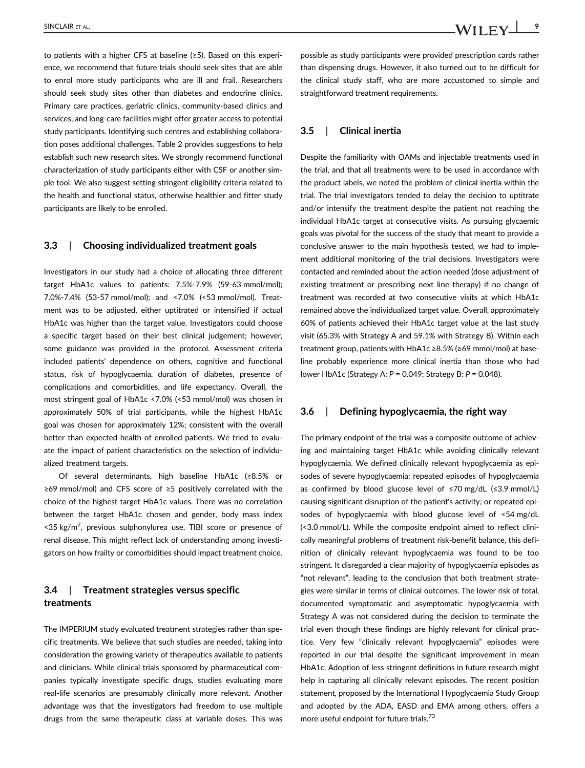to patients with a higher CFS at baseline (≥5). Based on this experience, we recommend that future trials should seek sites that are able to enrol more study participants who are ill and frail. Researchers should seek study sites other than diabetes and endocrine clinics. Primary care practices, geriatric clinics, community-based clinics and services, and long-care facilities might offer greater access to potential study participants. Identifying such centres and establishing collaboration poses additional challenges. Table 2 provides suggestions to help establish such new research sites. We strongly recommend functional characterization of study participants either with CSF or another simple tool. We also suggest setting stringent eligibility criteria related to the health and functional status, otherwise healthier and fitter study participants are likely to be enrolled.

#### 3.3 | Choosing individualized treatment goals

Investigators in our study had a choice of allocating three different target HbA1c values to patients: 7.5%-7.9% (59-63 mmol/mol); 7.0%-7.4% (53-57 mmol/mol); and <7.0% (<53 mmol/mol). Treatment was to be adjusted, either uptitrated or intensified if actual HbA1c was higher than the target value. Investigators could choose a specific target based on their best clinical judgement; however, some guidance was provided in the protocol. Assessment criteria included patients' dependence on others, cognitive and functional status, risk of hypoglycaemia, duration of diabetes, presence of complications and comorbidities, and life expectancy. Overall, the most stringent goal of HbA1c <7.0% (<53 mmol/mol) was chosen in approximately 50% of trial participants, while the highest HbA1c goal was chosen for approximately 12%; consistent with the overall better than expected health of enrolled patients. We tried to evaluate the impact of patient characteristics on the selection of individualized treatment targets.

Of several determinants, high baseline HbA1c (≥8.5% or ≥69 mmol/mol) and CFS score of ≥5 positively correlated with the choice of the highest target HbA1c values. There was no correlation between the target HbA1c chosen and gender, body mass index <35 kg/m<sup>2</sup>, previous sulphonylurea use, TIBI score or presence of renal disease. This might reflect lack of understanding among investigators on how frailty or comorbidities should impact treatment choice.

# 3.4 | Treatment strategies versus specific treatments

The IMPERIUM study evaluated treatment strategies rather than specific treatments. We believe that such studies are needed, taking into consideration the growing variety of therapeutics available to patients and clinicians. While clinical trials sponsored by pharmaceutical companies typically investigate specific drugs, studies evaluating more real-life scenarios are presumably clinically more relevant. Another advantage was that the investigators had freedom to use multiple drugs from the same therapeutic class at variable doses. This was possible as study participants were provided prescription cards rather than dispensing drugs. However, it also turned out to be difficult for the clinical study staff, who are more accustomed to simple and straightforward treatment requirements.

#### 3.5 | Clinical inertia

Despite the familiarity with OAMs and injectable treatments used in the trial, and that all treatments were to be used in accordance with the product labels, we noted the problem of clinical inertia within the trial. The trial investigators tended to delay the decision to uptitrate and/or intensify the treatment despite the patient not reaching the individual HbA1c target at consecutive visits. As pursuing glycaemic goals was pivotal for the success of the study that meant to provide a conclusive answer to the main hypothesis tested, we had to implement additional monitoring of the trial decisions. Investigators were contacted and reminded about the action needed (dose adjustment of existing treatment or prescribing next line therapy) if no change of treatment was recorded at two consecutive visits at which HbA1c remained above the individualized target value. Overall, approximately 60% of patients achieved their HbA1c target value at the last study visit (65.3% with Strategy A and 59.1% with Strategy B). Within each treatment group, patients with HbA1c ≥8.5% (≥69 mmol/mol) at baseline probably experience more clinical inertia than those who had lower HbA1c (Strategy A: P = 0.049; Strategy B: P = 0.048).

#### 3.6 | Defining hypoglycaemia, the right way

The primary endpoint of the trial was a composite outcome of achieving and maintaining target HbA1c while avoiding clinically relevant hypoglycaemia. We defined clinically relevant hypoglycaemia as episodes of severe hypoglycaemia; repeated episodes of hypoglycaemia as confirmed by blood glucose level of ≤70 mg/dL (≤3.9 mmol/L) causing significant disruption of the patient's activity; or repeated episodes of hypoglycaemia with blood glucose level of <54 mg/dL (<3.0 mmol/L). While the composite endpoint aimed to reflect clinically meaningful problems of treatment risk-benefit balance, this definition of clinically relevant hypoglycaemia was found to be too stringent. It disregarded a clear majority of hypoglycaemia episodes as "not relevant", leading to the conclusion that both treatment strategies were similar in terms of clinical outcomes. The lower risk of total, documented symptomatic and asymptomatic hypoglycaemia with Strategy A was not considered during the decision to terminate the trial even though these findings are highly relevant for clinical practice. Very few "clinically relevant hypoglycaemia" episodes were reported in our trial despite the significant improvement in mean HbA1c. Adoption of less stringent definitions in future research might help in capturing all clinically relevant episodes. The recent position statement, proposed by the International Hypoglycaemia Study Group and adopted by the ADA, EASD and EMA among others, offers a more useful endpoint for future trials.<sup>73</sup>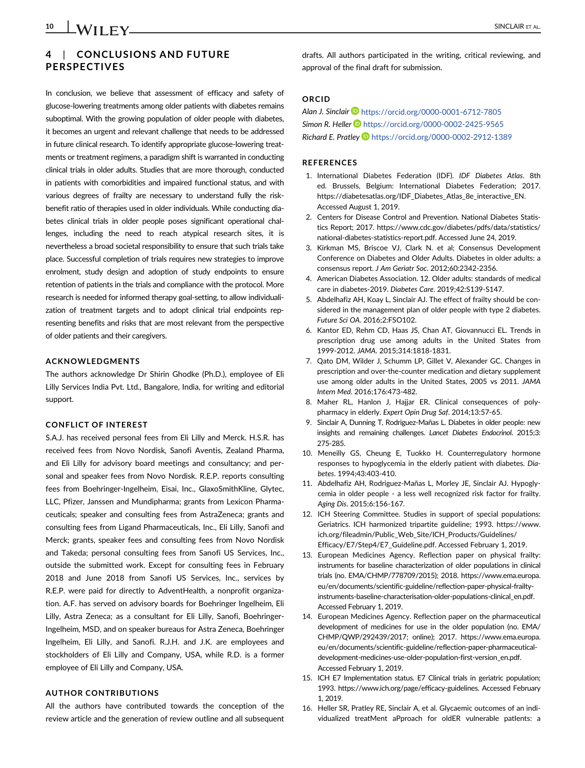# 4 | CONCLUSIONS AND FUTURE PERSPECTIVES

In conclusion, we believe that assessment of efficacy and safety of glucose-lowering treatments among older patients with diabetes remains suboptimal. With the growing population of older people with diabetes, it becomes an urgent and relevant challenge that needs to be addressed in future clinical research. To identify appropriate glucose-lowering treatments or treatment regimens, a paradigm shift is warranted in conducting clinical trials in older adults. Studies that are more thorough, conducted in patients with comorbidities and impaired functional status, and with various degrees of frailty are necessary to understand fully the riskbenefit ratio of therapies used in older individuals. While conducting diabetes clinical trials in older people poses significant operational challenges, including the need to reach atypical research sites, it is nevertheless a broad societal responsibility to ensure that such trials take place. Successful completion of trials requires new strategies to improve enrolment, study design and adoption of study endpoints to ensure retention of patients in the trials and compliance with the protocol. More research is needed for informed therapy goal-setting, to allow individualization of treatment targets and to adopt clinical trial endpoints representing benefits and risks that are most relevant from the perspective of older patients and their caregivers.

#### ACKNOWLEDGMENTS

The authors acknowledge Dr Shirin Ghodke (Ph.D.), employee of Eli Lilly Services India Pvt. Ltd., Bangalore, India, for writing and editorial support.

#### CONFLICT OF INTEREST

S.A.J. has received personal fees from Eli Lilly and Merck. H.S.R. has received fees from Novo Nordisk, Sanofi Aventis, Zealand Pharma, and Eli Lilly for advisory board meetings and consultancy; and personal and speaker fees from Novo Nordisk. R.E.P. reports consulting fees from Boehringer-Ingelheim, Eisai, Inc., GlaxoSmithKline, Glytec, LLC, Pfizer, Janssen and Mundipharma; grants from Lexicon Pharmaceuticals; speaker and consulting fees from AstraZeneca; grants and consulting fees from Ligand Pharmaceuticals, Inc., Eli Lilly, Sanofi and Merck; grants, speaker fees and consulting fees from Novo Nordisk and Takeda; personal consulting fees from Sanofi US Services, Inc., outside the submitted work. Except for consulting fees in February 2018 and June 2018 from Sanofi US Services, Inc., services by R.E.P. were paid for directly to AdventHealth, a nonprofit organization. A.F. has served on advisory boards for Boehringer Ingelheim, Eli Lilly, Astra Zeneca; as a consultant for Eli Lilly, Sanofi, Boehringer-Ingelheim, MSD, and on speaker bureaus for Astra Zeneca, Boehringer Ingelheim, Eli Lilly, and Sanofi. R.J.H. and J.K. are employees and stockholders of Eli Lilly and Company, USA, while R.D. is a former employee of Eli Lilly and Company, USA.

#### AUTHOR CONTRIBUTIONS

All the authors have contributed towards the conception of the review article and the generation of review outline and all subsequent drafts. All authors participated in the writing, critical reviewing, and approval of the final draft for submission.

#### ORCID

Alan J. Sinclair **b** https://orcid.org/0000-0001-6712-7805 Simon R. Heller **b** https://orcid.org/0000-0002-2425-9565 Richard E. Pratley Dhttps://orcid.org/0000-0002-2912-1389

#### REFERENCES

- 1. International Diabetes Federation (IDF). IDF Diabetes Atlas. 8th ed. Brussels, Belgium: International Diabetes Federation; 2017. https://diabetesatlas.org/IDF\_Diabetes\_Atlas\_8e\_interactive\_EN. Accessed August 1, 2019.
- 2. Centers for Disease Control and Prevention. National Diabetes Statistics Report; 2017. https://www.cdc.gov/diabetes/pdfs/data/statistics/ national-diabetes-statistics-report.pdf. Accessed June 24, 2019.
- 3. Kirkman MS, Briscoe VJ, Clark N. et al; Consensus Development Conference on Diabetes and Older Adults. Diabetes in older adults: a consensus report. J Am Geriatr Soc. 2012;60:2342-2356.
- 4. American Diabetes Association. 12. Older adults: standards of medical care in diabetes-2019. Diabetes Care. 2019;42:S139-S147.
- 5. Abdelhafiz AH, Koay L, Sinclair AJ. The effect of frailty should be considered in the management plan of older people with type 2 diabetes. Future Sci OA. 2016;2:FSO102.
- 6. Kantor ED, Rehm CD, Haas JS, Chan AT, Giovannucci EL. Trends in prescription drug use among adults in the United States from 1999-2012. JAMA. 2015;314:1818-1831.
- 7. Qato DM, Wilder J, Schumm LP, Gillet V, Alexander GC. Changes in prescription and over-the-counter medication and dietary supplement use among older adults in the United States, 2005 vs 2011. JAMA Intern Med. 2016;176:473-482.
- 8. Maher RL, Hanlon J, Hajjar ER. Clinical consequences of polypharmacy in elderly. Expert Opin Drug Saf. 2014;13:57-65.
- 9. Sinclair A, Dunning T, Rodriguez-Mañas L. Diabetes in older people: new insights and remaining challenges. Lancet Diabetes Endocrinol. 2015;3: 275-285.
- 10. Meneilly GS, Cheung E, Tuokko H. Counterregulatory hormone responses to hypoglycemia in the elderly patient with diabetes. Diabetes. 1994;43:403-410.
- 11. Abdelhafiz AH, Rodriguez-Mañas L, Morley JE, Sinclair AJ. Hypoglycemia in older people - a less well recognized risk factor for frailty. Aging Dis. 2015;6:156-167.
- 12. ICH Steering Committee. Studies in support of special populations: Geriatrics. ICH harmonized tripartite guideline; 1993. https://www. ich.org/fileadmin/Public\_Web\_Site/ICH\_Products/Guidelines/ Efficacy/E7/Step4/E7\_Guideline.pdf. Accessed February 1, 2019.
- 13. European Medicines Agency. Reflection paper on physical frailty: instruments for baseline characterization of older populations in clinical trials (no. EMA/CHMP/778709/2015); 2018. https://www.ema.europa. eu/en/documents/scientific-guideline/reflection-paper-physical-frailtyinstruments-baseline-characterisation-older-populations-clinical\_en.pdf. Accessed February 1, 2019.
- 14. European Medicines Agency. Reflection paper on the pharmaceutical development of medicines for use in the older population (no. EMA/ CHMP/QWP/292439/2017; online); 2017. https://www.ema.europa. eu/en/documents/scientific-guideline/reflection-paper-pharmaceuticaldevelopment-medicines-use-older-population-first-version\_en.pdf. Accessed February 1, 2019.
- 15. ICH E7 Implementation status. E7 Clinical trials in geriatric population; 1993. https://www.ich.org/page/efficacy-guidelines. Accessed February 1, 2019.
- 16. Heller SR, Pratley RE, Sinclair A, et al. Glycaemic outcomes of an individualized treatMent aPproach for oldER vulnerable patlents: a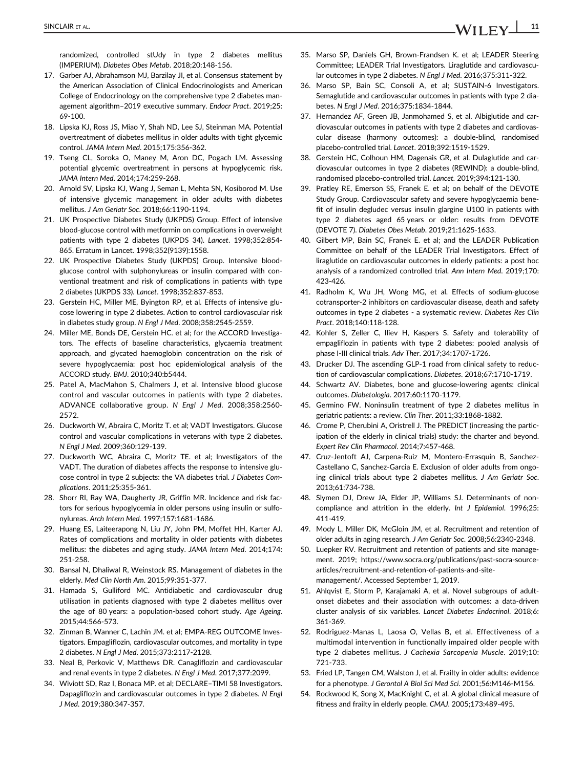randomized, controlled stUdy in type 2 diabetes mellitus (IMPERIUM). Diabetes Obes Metab. 2018;20:148-156.

- 17. Garber AJ, Abrahamson MJ, Barzilay JI, et al. Consensus statement by the American Association of Clinical Endocrinologists and American College of Endocrinology on the comprehensive type 2 diabetes management algorithm–2019 executive summary. Endocr Pract. 2019;25: 69-100.
- 18. Lipska KJ, Ross JS, Miao Y, Shah ND, Lee SJ, Steinman MA. Potential overtreatment of diabetes mellitus in older adults with tight glycemic control. JAMA Intern Med. 2015;175:356-362.
- 19. Tseng CL, Soroka O, Maney M, Aron DC, Pogach LM. Assessing potential glycemic overtreatment in persons at hypoglycemic risk. JAMA Intern Med. 2014;174:259-268.
- 20. Arnold SV, Lipska KJ, Wang J, Seman L, Mehta SN, Kosiborod M. Use of intensive glycemic management in older adults with diabetes mellitus. J Am Geriatr Soc. 2018;66:1190-1194.
- 21. UK Prospective Diabetes Study (UKPDS) Group. Effect of intensive blood-glucose control with metformin on complications in overweight patients with type 2 diabetes (UKPDS 34). Lancet. 1998;352:854- 865. Erratum in Lancet. 1998;352(9139):1558.
- 22. UK Prospective Diabetes Study (UKPDS) Group. Intensive bloodglucose control with sulphonylureas or insulin compared with conventional treatment and risk of complications in patients with type 2 diabetes (UKPDS 33). Lancet. 1998;352:837-853.
- 23. Gerstein HC, Miller ME, Byington RP, et al. Effects of intensive glucose lowering in type 2 diabetes. Action to control cardiovascular risk in diabetes study group. N Engl J Med. 2008;358:2545-2559.
- 24. Miller ME, Bonds DE, Gerstein HC. et al; for the ACCORD Investigators. The effects of baseline characteristics, glycaemia treatment approach, and glycated haemoglobin concentration on the risk of severe hypoglycaemia: post hoc epidemiological analysis of the ACCORD study. BMJ. 2010;340:b5444.
- 25. Patel A, MacMahon S, Chalmers J, et al. Intensive blood glucose control and vascular outcomes in patients with type 2 diabetes. ADVANCE collaborative group. N Engl J Med. 2008;358:2560- 2572.
- 26. Duckworth W, Abraira C, Moritz T. et al; VADT Investigators. Glucose control and vascular complications in veterans with type 2 diabetes. N Engl J Med. 2009;360:129-139.
- 27. Duckworth WC, Abraira C, Moritz TE. et al; Investigators of the VADT. The duration of diabetes affects the response to intensive glucose control in type 2 subjects: the VA diabetes trial. J Diabetes Complications. 2011;25:355-361.
- 28. Shorr RI, Ray WA, Daugherty JR, Griffin MR. Incidence and risk factors for serious hypoglycemia in older persons using insulin or sulfonylureas. Arch Intern Med. 1997;157:1681-1686.
- 29. Huang ES, Laiteerapong N, Liu JY, John PM, Moffet HH, Karter AJ. Rates of complications and mortality in older patients with diabetes mellitus: the diabetes and aging study. JAMA Intern Med. 2014;174: 251-258.
- 30. Bansal N, Dhaliwal R, Weinstock RS. Management of diabetes in the elderly. Med Clin North Am. 2015;99:351-377.
- 31. Hamada S, Gulliford MC. Antidiabetic and cardiovascular drug utilisation in patients diagnosed with type 2 diabetes mellitus over the age of 80 years: a population-based cohort study. Age Ageing. 2015;44:566-573.
- 32. Zinman B, Wanner C, Lachin JM. et al; EMPA-REG OUTCOME Investigators. Empagliflozin, cardiovascular outcomes, and mortality in type 2 diabetes. N Engl J Med. 2015;373:2117-2128.
- 33. Neal B, Perkovic V, Matthews DR. Canagliflozin and cardiovascular and renal events in type 2 diabetes. N Engl J Med. 2017;377:2099.
- 34. Wiviott SD, Raz I, Bonaca MP. et al; DECLARE–TIMI 58 Investigators. Dapagliflozin and cardiovascular outcomes in type 2 diabetes. N Engl J Med. 2019;380:347-357.
- 35. Marso SP, Daniels GH, Brown-Frandsen K. et al; LEADER Steering Committee; LEADER Trial Investigators. Liraglutide and cardiovascular outcomes in type 2 diabetes. N Engl J Med. 2016;375:311-322.
- 36. Marso SP, Bain SC, Consoli A, et al; SUSTAIN-6 Investigators. Semaglutide and cardiovascular outcomes in patients with type 2 diabetes. N Engl J Med. 2016;375:1834-1844.
- 37. Hernandez AF, Green JB, Janmohamed S, et al. Albiglutide and cardiovascular outcomes in patients with type 2 diabetes and cardiovascular disease (harmony outcomes): a double-blind, randomised placebo-controlled trial. Lancet. 2018;392:1519-1529.
- 38. Gerstein HC, Colhoun HM, Dagenais GR, et al. Dulaglutide and cardiovascular outcomes in type 2 diabetes (REWIND): a double-blind, randomised placebo-controlled trial. Lancet. 2019;394:121-130.
- 39. Pratley RE, Emerson SS, Franek E. et al; on behalf of the DEVOTE Study Group. Cardiovascular safety and severe hypoglycaemia benefit of insulin degludec versus insulin glargine U100 in patients with type 2 diabetes aged 65 years or older: results from DEVOTE (DEVOTE 7). Diabetes Obes Metab. 2019;21:1625-1633.
- 40. Gilbert MP, Bain SC, Franek E. et al; and the LEADER Publication Committee on behalf of the LEADER Trial Investigators. Effect of liraglutide on cardiovascular outcomes in elderly patients: a post hoc analysis of a randomized controlled trial. Ann Intern Med. 2019;170: 423-426.
- 41. Radholm K, Wu JH, Wong MG, et al. Effects of sodium-glucose cotransporter-2 inhibitors on cardiovascular disease, death and safety outcomes in type 2 diabetes - a systematic review. Diabetes Res Clin Pract. 2018;140:118-128.
- 42. Kohler S, Zeller C, Iliev H, Kaspers S. Safety and tolerability of empagliflozin in patients with type 2 diabetes: pooled analysis of phase I-III clinical trials. Adv Ther. 2017;34:1707-1726.
- 43. Drucker DJ. The ascending GLP-1 road from clinical safety to reduction of cardiovascular complications. Diabetes. 2018;67:1710-1719.
- 44. Schwartz AV. Diabetes, bone and glucose-lowering agents: clinical outcomes. Diabetologia. 2017;60:1170-1179.
- 45. Germino FW. Noninsulin treatment of type 2 diabetes mellitus in geriatric patients: a review. Clin Ther. 2011;33:1868-1882.
- 46. Crome P, Cherubini A, Oristrell J. The PREDICT (increasing the participation of the elderly in clinical trials) study: the charter and beyond. Expert Rev Clin Pharmacol. 2014;7:457-468.
- 47. Cruz-Jentoft AJ, Carpena-Ruiz M, Montero-Errasquin B, Sanchez-Castellano C, Sanchez-Garcia E. Exclusion of older adults from ongoing clinical trials about type 2 diabetes mellitus. J Am Geriatr Soc. 2013;61:734-738.
- 48. Slymen DJ, Drew JA, Elder JP, Williams SJ. Determinants of noncompliance and attrition in the elderly. Int J Epidemiol. 1996;25: 411-419.
- 49. Mody L, Miller DK, McGloin JM, et al. Recruitment and retention of older adults in aging research. J Am Geriatr Soc. 2008;56:2340-2348.
- 50. Luepker RV. Recruitment and retention of patients and site management. 2019; https://www.socra.org/publications/past-socra-sourcearticles/recruitment-and-retention-of-patients-and-sitemanagement/. Accessed September 1, 2019.
- 51. Ahlqvist E, Storm P, Karajamaki A, et al. Novel subgroups of adultonset diabetes and their association with outcomes: a data-driven cluster analysis of six variables. Lancet Diabetes Endocrinol. 2018;6: 361-369.
- 52. Rodriguez-Manas L, Laosa O, Vellas B, et al. Effectiveness of a multimodal intervention in functionally impaired older people with type 2 diabetes mellitus. J Cachexia Sarcopenia Muscle. 2019;10: 721-733.
- 53. Fried LP, Tangen CM, Walston J, et al. Frailty in older adults: evidence for a phenotype. J Gerontol A Biol Sci Med Sci. 2001;56:M146-M156.
- 54. Rockwood K, Song X, MacKnight C, et al. A global clinical measure of fitness and frailty in elderly people. CMAJ. 2005;173:489-495.